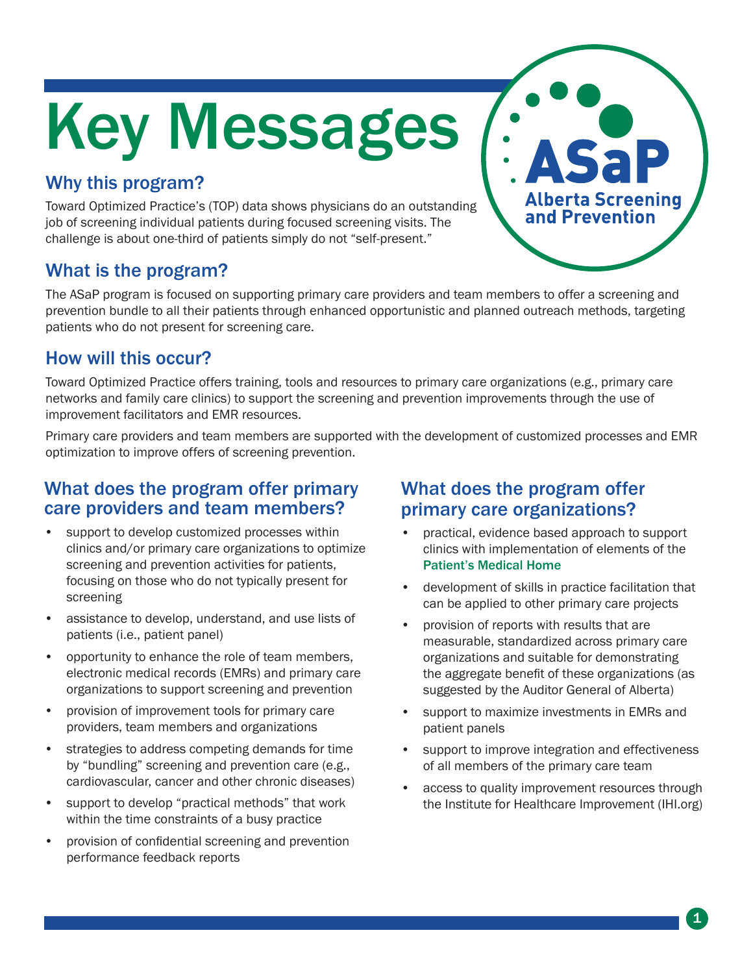# Key Messages

# Why this program?

Toward Optimized Practice's (TOP) data shows physicians do an outstanding job of screening individual patients during focused screening visits. The challenge is about one-third of patients simply do not "self-present."

# What is the program?

The ASaP program is focused on supporting primary care providers and team members to offer a screening and prevention bundle to all their patients through enhanced opportunistic and planned outreach methods, targeting patients who do not present for screening care.

### How will this occur?

Toward Optimized Practice offers training, tools and resources to primary care organizations (e.g., primary care networks and family care clinics) to support the screening and prevention improvements through the use of improvement facilitators and EMR resources.

Primary care providers and team members are supported with the development of customized processes and EMR optimization to improve offers of screening prevention.

#### What does the program offer primary care providers and team members?

- support to develop customized processes within clinics and/or primary care organizations to optimize screening and prevention activities for patients, focusing on those who do not typically present for screening
- assistance to develop, understand, and use lists of patients (i.e., patient panel)
- opportunity to enhance the role of team members, electronic medical records (EMRs) and primary care organizations to support screening and prevention
- provision of improvement tools for primary care providers, team members and organizations
- strategies to address competing demands for time by "bundling" screening and prevention care (e.g., cardiovascular, cancer and other chronic diseases)
- support to develop "practical methods" that work within the time constraints of a busy practice
- provision of confidential screening and prevention performance feedback reports

## What does the program offer primary care organizations?

practical, evidence based approach to support clinics with implementation of elements of the Patient's Medical Home

**Alberta Screening** and Prevention

- development of skills in practice facilitation that can be applied to other primary care projects
- provision of reports with results that are measurable, standardized across primary care organizations and suitable for demonstrating the aggregate benefit of these organizations (as suggested by the Auditor General of Alberta)
- support to maximize investments in EMRs and patient panels
- support to improve integration and effectiveness of all members of the primary care team
- access to quality improvement resources through the Institute for Healthcare Improvement (IHI.org)

1